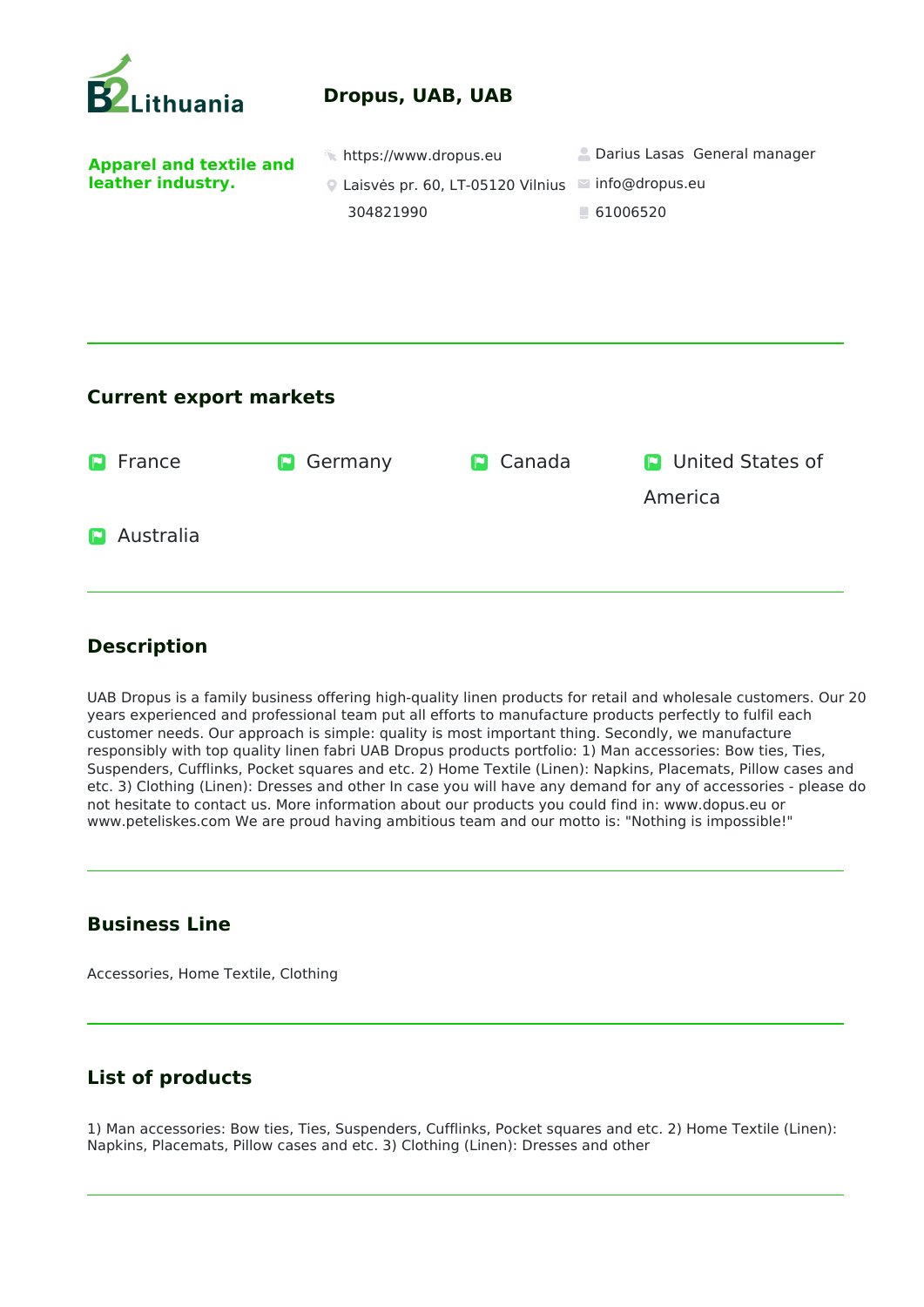

## **Description**

UAB Dropus is a family business offering high-quality linen products for retail and wholesale customers. Our 20 years experienced and professional team put all efforts to manufacture products perfectly to fulfil each customer needs. Our approach is simple: quality is most important thing. Secondly, we manufacture responsibly with top quality linen fabri UAB Dropus products portfolio: 1) Man accessories: Bow ties, Ties, Suspenders, Cufflinks, Pocket squares and etc. 2) Home Textile (Linen): Napkins, Placemats, Pillow cases and etc. 3) Clothing (Linen): Dresses and other In case you will have any demand for any of accessories - please do not hesitate to contact us. More information about our products you could find in: www.dopus.eu or www.peteliskes.com We are proud having ambitious team and our motto is: "Nothing is impossible!"

## **Business Line**

Accessories, Home Textile, Clothing

## **List of products**

1) Man accessories: Bow ties, Ties, Suspenders, Cufflinks, Pocket squares and etc. 2) Home Textile (Linen): Napkins, Placemats, Pillow cases and etc. 3) Clothing (Linen): Dresses and other